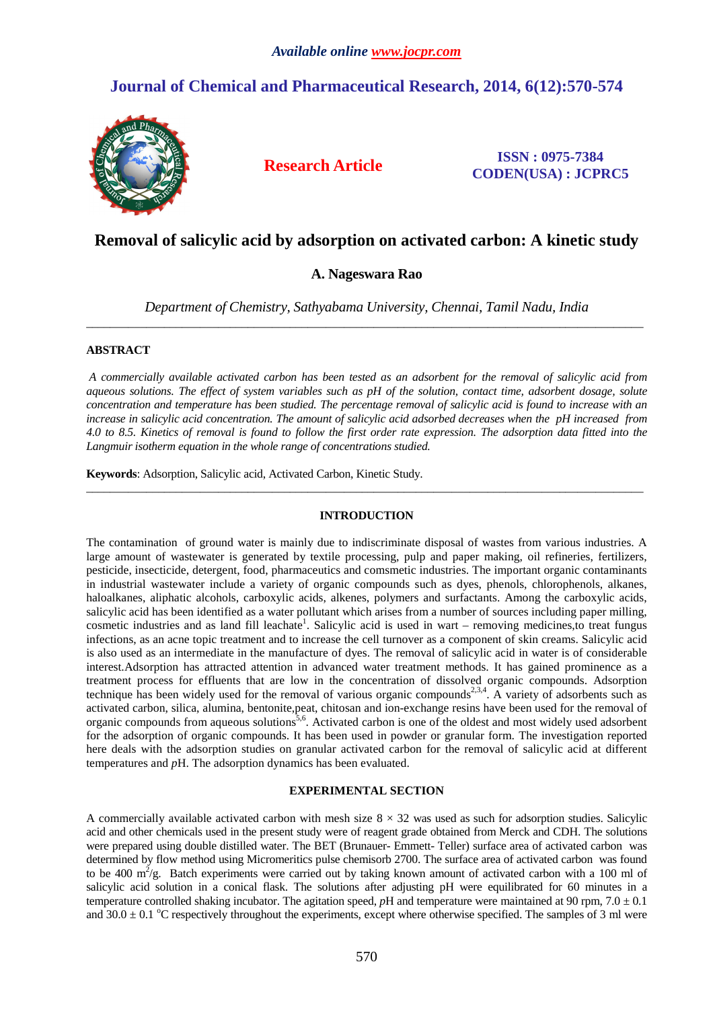# **Journal of Chemical and Pharmaceutical Research, 2014, 6(12):570-574**



**Research Article ISSN : 0975-7384 CODEN(USA) : JCPRC5**

## **Removal of salicylic acid by adsorption on activated carbon: A kinetic study**

## **A. Nageswara Rao**

*Department of Chemistry, Sathyabama University, Chennai, Tamil Nadu, India*  \_\_\_\_\_\_\_\_\_\_\_\_\_\_\_\_\_\_\_\_\_\_\_\_\_\_\_\_\_\_\_\_\_\_\_\_\_\_\_\_\_\_\_\_\_\_\_\_\_\_\_\_\_\_\_\_\_\_\_\_\_\_\_\_\_\_\_\_\_\_\_\_\_\_\_\_\_\_\_\_\_\_\_\_\_\_\_\_\_\_\_\_\_

## **ABSTRACT**

*A commercially available activated carbon has been tested as an adsorbent for the removal of salicylic acid from aqueous solutions. The effect of system variables such as pH of the solution, contact time, adsorbent dosage, solute concentration and temperature has been studied. The percentage removal of salicylic acid is found to increase with an increase in salicylic acid concentration. The amount of salicylic acid adsorbed decreases when the pH increased from 4.0 to 8.5. Kinetics of removal is found to follow the first order rate expression. The adsorption data fitted into the Langmuir isotherm equation in the whole range of concentrations studied.* 

**Keywords**: Adsorption, Salicylic acid, Activated Carbon, Kinetic Study.

### **INTRODUCTION**

\_\_\_\_\_\_\_\_\_\_\_\_\_\_\_\_\_\_\_\_\_\_\_\_\_\_\_\_\_\_\_\_\_\_\_\_\_\_\_\_\_\_\_\_\_\_\_\_\_\_\_\_\_\_\_\_\_\_\_\_\_\_\_\_\_\_\_\_\_\_\_\_\_\_\_\_\_\_\_\_\_\_\_\_\_\_\_\_\_\_\_\_\_

The contamination of ground water is mainly due to indiscriminate disposal of wastes from various industries. A large amount of wastewater is generated by textile processing, pulp and paper making, oil refineries, fertilizers, pesticide, insecticide, detergent, food, pharmaceutics and comsmetic industries. The important organic contaminants in industrial wastewater include a variety of organic compounds such as dyes, phenols, chlorophenols, alkanes, haloalkanes, aliphatic alcohols, carboxylic acids, alkenes, polymers and surfactants. Among the carboxylic acids, salicylic acid has been identified as a water pollutant which arises from a number of sources including paper milling, cosmetic industries and as land fill leachate<sup>1</sup>. Salicylic acid is used in wart – removing medicines,to treat fungus infections, as an acne topic treatment and to increase the cell turnover as a component of skin creams. Salicylic acid is also used as an intermediate in the manufacture of dyes. The removal of salicylic acid in water is of considerable interest.Adsorption has attracted attention in advanced water treatment methods. It has gained prominence as a treatment process for effluents that are low in the concentration of dissolved organic compounds. Adsorption technique has been widely used for the removal of various organic compounds<sup>2,3,4</sup>. A variety of adsorbents such as activated carbon, silica, alumina, bentonite,peat, chitosan and ion-exchange resins have been used for the removal of organic compounds from aqueous solutions<sup>5,6</sup>. Activated carbon is one of the oldest and most widely used adsorbent for the adsorption of organic compounds. It has been used in powder or granular form. The investigation reported here deals with the adsorption studies on granular activated carbon for the removal of salicylic acid at different temperatures and *p*H. The adsorption dynamics has been evaluated.

### **EXPERIMENTAL SECTION**

A commercially available activated carbon with mesh size  $8 \times 32$  was used as such for adsorption studies. Salicylic acid and other chemicals used in the present study were of reagent grade obtained from Merck and CDH. The solutions were prepared using double distilled water. The BET (Brunauer- Emmett- Teller) surface area of activated carbon was determined by flow method using Micromeritics pulse chemisorb 2700. The surface area of activated carbon was found to be 400  $m^2/g$ . Batch experiments were carried out by taking known amount of activated carbon with a 100 ml of salicylic acid solution in a conical flask. The solutions after adjusting pH were equilibrated for 60 minutes in a temperature controlled shaking incubator. The agitation speed,  $p$ H and temperature were maintained at 90 rpm,  $7.0 \pm 0.1$ and  $30.0 \pm 0.1$  °C respectively throughout the experiments, except where otherwise specified. The samples of 3 ml were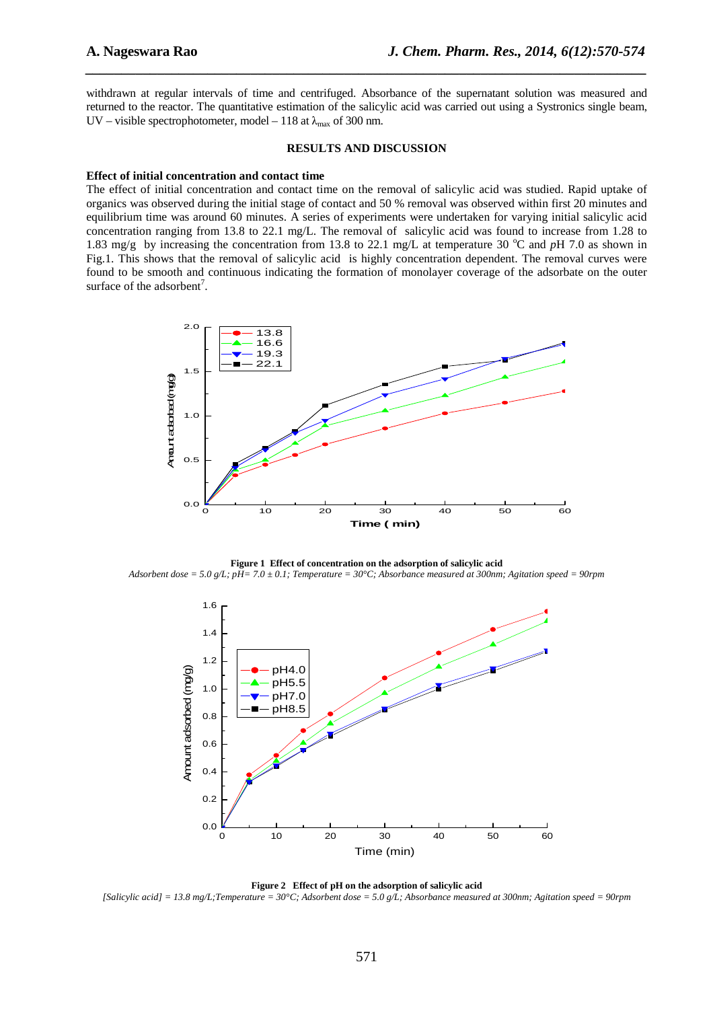withdrawn at regular intervals of time and centrifuged. Absorbance of the supernatant solution was measured and returned to the reactor. The quantitative estimation of the salicylic acid was carried out using a Systronics single beam, UV – visible spectrophotometer, model – 118 at  $\lambda_{\text{max}}$  of 300 nm.

*\_\_\_\_\_\_\_\_\_\_\_\_\_\_\_\_\_\_\_\_\_\_\_\_\_\_\_\_\_\_\_\_\_\_\_\_\_\_\_\_\_\_\_\_\_\_\_\_\_\_\_\_\_\_\_\_\_\_\_\_\_\_\_\_\_\_\_\_\_\_\_\_\_\_\_\_\_\_*

#### **RESULTS AND DISCUSSION**

#### **Effect of initial concentration and contact time**

The effect of initial concentration and contact time on the removal of salicylic acid was studied. Rapid uptake of organics was observed during the initial stage of contact and 50 % removal was observed within first 20 minutes and equilibrium time was around 60 minutes. A series of experiments were undertaken for varying initial salicylic acid concentration ranging from 13.8 to 22.1 mg/L. The removal of salicylic acid was found to increase from 1.28 to 1.83 mg/g by increasing the concentration from 13.8 to 22.1 mg/L at temperature 30 °C and *pH* 7.0 as shown in Fig.1. This shows that the removal of salicylic acid is highly concentration dependent. The removal curves were found to be smooth and continuous indicating the formation of monolayer coverage of the adsorbate on the outer surface of the adsorbent<sup>7</sup>.



**Figure 1 Effect of concentration on the adsorption of salicylic acid**  *Adsorbent dose = 5.0 g/L; pH= 7.0 ± 0.1; Temperature = 30°C; Absorbance measured at 300nm; Agitation speed = 90rpm* 



**Figure 2 Effect of pH on the adsorption of salicylic acid**  *[Salicylic acid] = 13.8 mg/L;Temperature = 30°C; Adsorbent dose = 5.0 g/L; Absorbance measured at 300nm; Agitation speed = 90rpm*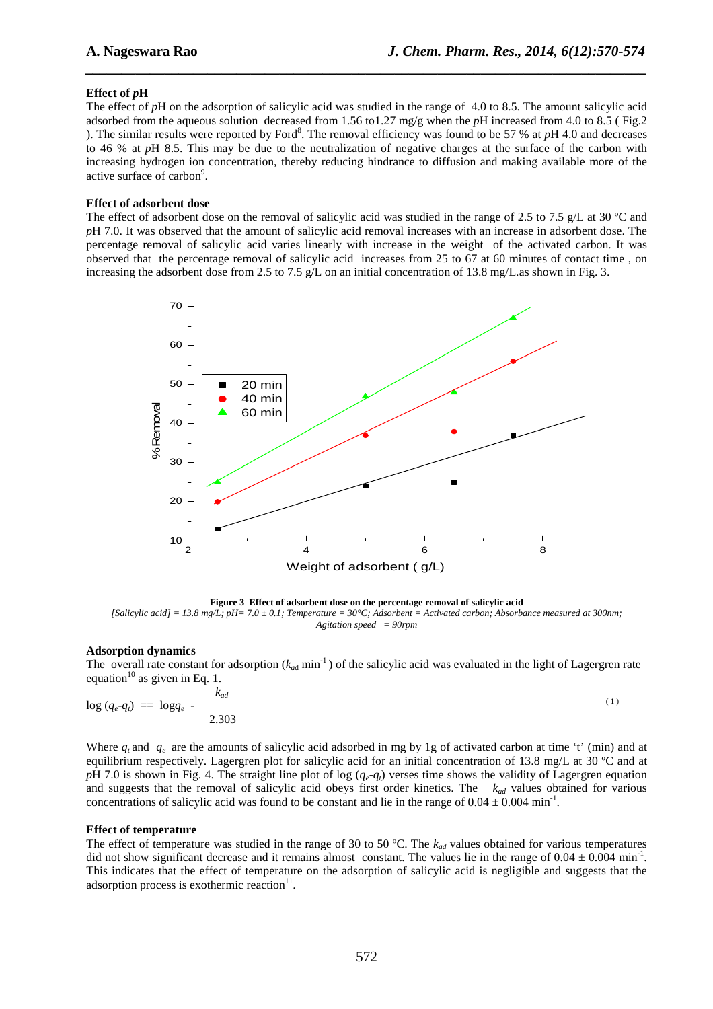## **Effect of** *p***H**

The effect of *p*H on the adsorption of salicylic acid was studied in the range of 4.0 to 8.5. The amount salicylic acid adsorbed from the aqueous solution decreased from 1.56 to1.27 mg/g when the *p*H increased from 4.0 to 8.5 ( Fig.2 ). The similar results were reported by Ford<sup>8</sup>. The removal efficiency was found to be 57 % at  $pH$  4.0 and decreases to 46 % at *p*H 8.5. This may be due to the neutralization of negative charges at the surface of the carbon with increasing hydrogen ion concentration, thereby reducing hindrance to diffusion and making available more of the active surface of carbon<sup>9</sup>.

*\_\_\_\_\_\_\_\_\_\_\_\_\_\_\_\_\_\_\_\_\_\_\_\_\_\_\_\_\_\_\_\_\_\_\_\_\_\_\_\_\_\_\_\_\_\_\_\_\_\_\_\_\_\_\_\_\_\_\_\_\_\_\_\_\_\_\_\_\_\_\_\_\_\_\_\_\_\_*

## **Effect of adsorbent dose**

The effect of adsorbent dose on the removal of salicylic acid was studied in the range of 2.5 to 7.5 g/L at 30  $^{\circ}$ C and *p*H 7.0. It was observed that the amount of salicylic acid removal increases with an increase in adsorbent dose. The percentage removal of salicylic acid varies linearly with increase in the weight of the activated carbon. It was observed that the percentage removal of salicylic acid increases from 25 to 67 at 60 minutes of contact time , on increasing the adsorbent dose from 2.5 to 7.5 g/L on an initial concentration of 13.8 mg/L.as shown in Fig. 3.



**Figure 3 Effect of adsorbent dose on the percentage removal of salicylic acid**  *[Salicylic acid] = 13.8 mg/L; pH= 7.0 ± 0.1; Temperature = 30°C; Adsorbent = Activated carbon; Absorbance measured at 300nm; Agitation speed = 90rpm* 

### **Adsorption dynamics**

The overall rate constant for adsorption  $(k_{ad} \text{min}^{-1})$  of the salicylic acid was evaluated in the light of Lagergren rate equation<sup>10</sup> as given in Eq. 1.

$$
\log (q_e - q_i) = \log q_e - \frac{k_{ad}}{2.303} \tag{1}
$$

Where  $q_t$  and  $q_e$  are the amounts of salicylic acid adsorbed in mg by 1g of activated carbon at time 't' (min) and at equilibrium respectively. Lagergren plot for salicylic acid for an initial concentration of 13.8 mg/L at 30 ºC and at *pH* 7.0 is shown in Fig. 4. The straight line plot of log  $(q_e - q_t)$  verses time shows the validity of Lagergren equation and suggests that the removal of salicylic acid obeys first order kinetics. The *kad* values obtained for various concentrations of salicylic acid was found to be constant and lie in the range of  $0.04 \pm 0.004$  min<sup>-1</sup>.

### **Effect of temperature**

The effect of temperature was studied in the range of 30 to 50 °C. The  $k_{ad}$  values obtained for various temperatures did not show significant decrease and it remains almost constant. The values lie in the range of  $0.04 \pm 0.004$  min<sup>-1</sup>. This indicates that the effect of temperature on the adsorption of salicylic acid is negligible and suggests that the adsorption process is exothermic reaction $11$ .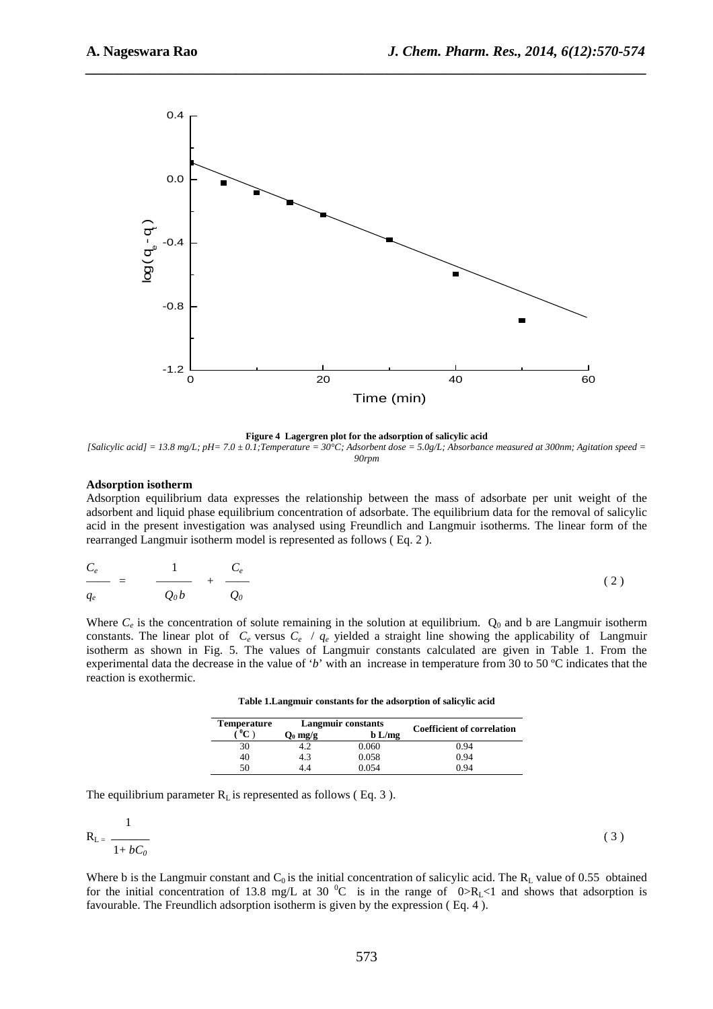

*\_\_\_\_\_\_\_\_\_\_\_\_\_\_\_\_\_\_\_\_\_\_\_\_\_\_\_\_\_\_\_\_\_\_\_\_\_\_\_\_\_\_\_\_\_\_\_\_\_\_\_\_\_\_\_\_\_\_\_\_\_\_\_\_\_\_\_\_\_\_\_\_\_\_\_\_\_\_*

**Figure 4 Lagergren plot for the adsorption of salicylic acid** 

*[Salicylic acid] = 13.8 mg/L; pH= 7.0 ± 0.1;Temperature = 30°C; Adsorbent dose = 5.0g/L; Absorbance measured at 300nm; Agitation speed = 90rpm* 

#### **Adsorption isotherm**

Adsorption equilibrium data expresses the relationship between the mass of adsorbate per unit weight of the adsorbent and liquid phase equilibrium concentration of adsorbate. The equilibrium data for the removal of salicylic acid in the present investigation was analysed using Freundlich and Langmuir isotherms. The linear form of the rearranged Langmuir isotherm model is represented as follows ( Eq. 2 ).

$$
\frac{C_e}{q_e} = \frac{1}{Q_0 b} + \frac{C_e}{Q_0} \tag{2}
$$

Where  $C_e$  is the concentration of solute remaining in the solution at equilibrium.  $Q_0$  and b are Langmuir isotherm constants. The linear plot of  $C_e$  versus  $C_e$  /  $q_e$  yielded a straight line showing the applicability of Langmuir isotherm as shown in Fig. 5. The values of Langmuir constants calculated are given in Table 1. From the experimental data the decrease in the value of '*b*' with an increase in temperature from 30 to 50 ºC indicates that the reaction is exothermic.

**Table 1.Langmuir constants for the adsorption of salicylic acid** 

| <b>Temperature</b> | <b>Langmuir constants</b> |          |                                   |
|--------------------|---------------------------|----------|-----------------------------------|
| $0\sim$            | $\mathbf{O}_0$ mg/g       | $b$ L/mg | <b>Coefficient of correlation</b> |
| 30                 |                           | 0.060    | 0.94                              |
| 40                 | 4.3                       | 0.058    | 0.94                              |
| 50                 |                           | 0 054    | 0.94                              |

The equilibrium parameter  $R<sub>L</sub>$  is represented as follows (Eq. 3).

$$
R_{L} = \frac{1}{1 + bC_0} \tag{3}
$$

Where b is the Langmuir constant and  $C_0$  is the initial concentration of salicylic acid. The  $R_L$  value of 0.55 obtained for the initial concentration of 13.8 mg/L at 30  $^{\circ}$ C is in the range of 0>R<sub>L</sub><1 and shows that adsorption is favourable. The Freundlich adsorption isotherm is given by the expression ( Eq. 4 ).